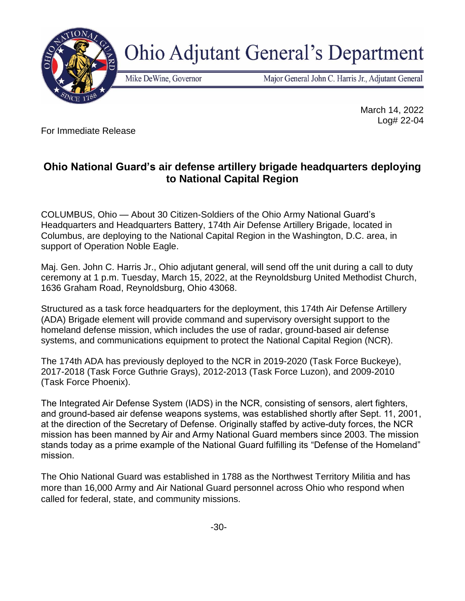

## **Ohio Adjutant General's Department**

Mike DeWine, Governor

Major General John C. Harris Jr., Adjutant General

For Immediate Release

 March 14, 2022 Log# 22-04

## **Ohio National Guard's air defense artillery brigade headquarters deploying to National Capital Region**

COLUMBUS, Ohio — About 30 Citizen-Soldiers of the Ohio Army National Guard's Headquarters and Headquarters Battery, 174th Air Defense Artillery Brigade, located in Columbus, are deploying to the National Capital Region in the Washington, D.C. area, in support of Operation Noble Eagle.

Maj. Gen. John C. Harris Jr., Ohio adjutant general, will send off the unit during a call to duty ceremony at 1 p.m. Tuesday, March 15, 2022, at the Reynoldsburg United Methodist Church, 1636 Graham Road, Reynoldsburg, Ohio 43068.

Structured as a task force headquarters for the deployment, this 174th Air Defense Artillery (ADA) Brigade element will provide command and supervisory oversight support to the homeland defense mission, which includes the use of radar, ground-based air defense systems, and communications equipment to protect the National Capital Region (NCR).

The 174th ADA has previously deployed to the NCR in 2019-2020 (Task Force Buckeye), 2017-2018 (Task Force Guthrie Grays), 2012-2013 (Task Force Luzon), and 2009-2010 (Task Force Phoenix).

The Integrated Air Defense System (IADS) in the NCR, consisting of sensors, alert fighters, and ground-based air defense weapons systems, was established shortly after Sept. 11, 2001, at the direction of the Secretary of Defense. Originally staffed by active-duty forces, the NCR mission has been manned by Air and Army National Guard members since 2003. The mission stands today as a prime example of the National Guard fulfilling its "Defense of the Homeland" mission.

The Ohio National Guard was established in 1788 as the Northwest Territory Militia and has more than 16,000 Army and Air National Guard personnel across Ohio who respond when called for federal, state, and community missions.